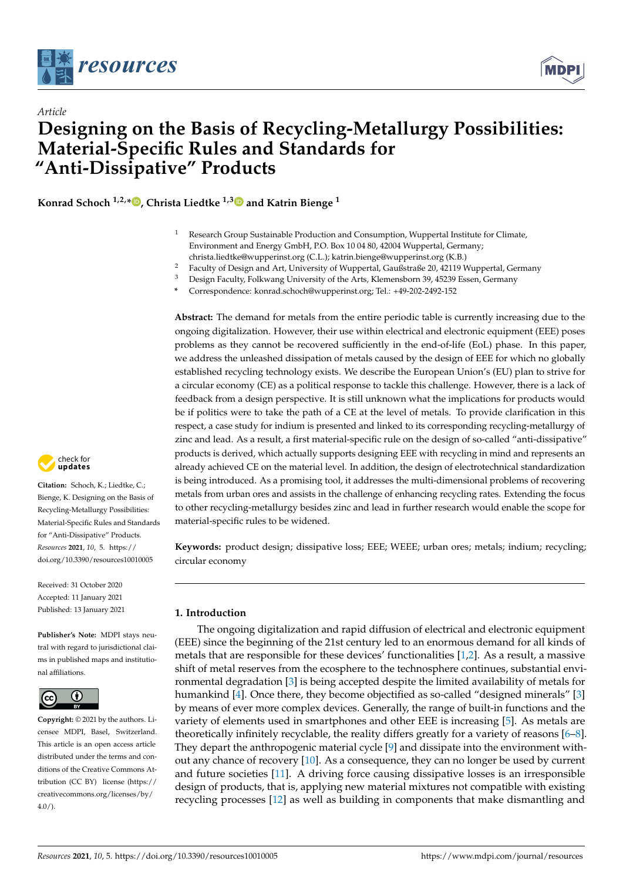



# *Article* **Designing on the Basis of Recycling-Metallurgy Possibilities: Material-Specific Rules and Standards for "Anti-Dissipative" Products**

**Konrad Schoch 1,2,\* [,](https://orcid.org/0000-0002-8876-8705) Christa Liedtke 1,[3](https://orcid.org/0000-0003-2499-6431) and Katrin Bienge <sup>1</sup>**

- <sup>1</sup> Research Group Sustainable Production and Consumption, Wuppertal Institute for Climate, Environment and Energy GmbH, P.O. Box 10 04 80, 42004 Wuppertal, Germany; christa.liedtke@wupperinst.org (C.L.); katrin.bienge@wupperinst.org (K.B.)
- <sup>2</sup> Faculty of Design and Art, University of Wuppertal, Gaußstraße 20, 42119 Wuppertal, Germany
- <sup>3</sup> Design Faculty, Folkwang University of the Arts, Klemensborn 39, 45239 Essen, Germany
- **\*** Correspondence: konrad.schoch@wupperinst.org; Tel.: +49-202-2492-152

**Abstract:** The demand for metals from the entire periodic table is currently increasing due to the ongoing digitalization. However, their use within electrical and electronic equipment (EEE) poses problems as they cannot be recovered sufficiently in the end-of-life (EoL) phase. In this paper, we address the unleashed dissipation of metals caused by the design of EEE for which no globally established recycling technology exists. We describe the European Union's (EU) plan to strive for a circular economy (CE) as a political response to tackle this challenge. However, there is a lack of feedback from a design perspective. It is still unknown what the implications for products would be if politics were to take the path of a CE at the level of metals. To provide clarification in this respect, a case study for indium is presented and linked to its corresponding recycling-metallurgy of zinc and lead. As a result, a first material-specific rule on the design of so-called "anti-dissipative" products is derived, which actually supports designing EEE with recycling in mind and represents an already achieved CE on the material level. In addition, the design of electrotechnical standardization is being introduced. As a promising tool, it addresses the multi-dimensional problems of recovering metals from urban ores and assists in the challenge of enhancing recycling rates. Extending the focus to other recycling-metallurgy besides zinc and lead in further research would enable the scope for material-specific rules to be widened.

**Keywords:** product design; dissipative loss; EEE; WEEE; urban ores; metals; indium; recycling; circular economy

#### **1. Introduction**

The ongoing digitalization and rapid diffusion of electrical and electronic equipment (EEE) since the beginning of the 21st century led to an enormous demand for all kinds of metals that are responsible for these devices' functionalities [\[1](#page-9-0)[,2\]](#page-9-1). As a result, a massive shift of metal reserves from the ecosphere to the technosphere continues, substantial environmental degradation [\[3\]](#page-10-0) is being accepted despite the limited availability of metals for humankind [\[4\]](#page-10-1). Once there, they become objectified as so-called "designed minerals" [\[3\]](#page-10-0) by means of ever more complex devices. Generally, the range of built-in functions and the variety of elements used in smartphones and other EEE is increasing [\[5\]](#page-10-2). As metals are theoretically infinitely recyclable, the reality differs greatly for a variety of reasons [\[6](#page-10-3)[–8\]](#page-10-4). They depart the anthropogenic material cycle [\[9\]](#page-10-5) and dissipate into the environment without any chance of recovery [\[10\]](#page-10-6). As a consequence, they can no longer be used by current and future societies [\[11\]](#page-10-7). A driving force causing dissipative losses is an irresponsible design of products, that is, applying new material mixtures not compatible with existing recycling processes [\[12\]](#page-10-8) as well as building in components that make dismantling and



**Citation:** Schoch, K.; Liedtke, C.; Bienge, K. Designing on the Basis of Recycling-Metallurgy Possibilities: Material-Specific Rules and Standards for "Anti-Dissipative" Products. *Resources* **2021**, *10*, 5. [https://](https://doi.org/10.3390/resources10010005) [doi.org/10.3390/resources10010005](https://doi.org/10.3390/resources10010005)

Received: 31 October 2020 Accepted: 11 January 2021 Published: 13 January 2021

**Publisher's Note:** MDPI stays neutral with regard to jurisdictional claims in published maps and institutional affiliations.



**Copyright:** © 2021 by the authors. Licensee MDPI, Basel, Switzerland. This article is an open access article distributed under the terms and conditions of the Creative Commons Attribution (CC BY) license [\(https://](https://creativecommons.org/licenses/by/4.0/) [creativecommons.org/licenses/by/](https://creativecommons.org/licenses/by/4.0/)  $4.0/$ ).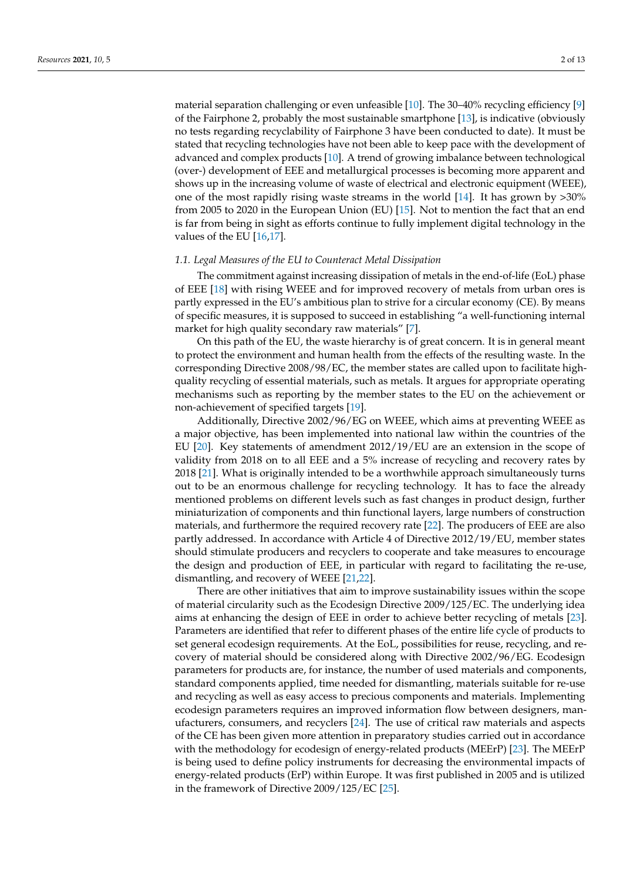material separation challenging or even unfeasible [\[10\]](#page-10-6). The 30–40% recycling efficiency [\[9\]](#page-10-5) of the Fairphone 2, probably the most sustainable smartphone [\[13\]](#page-10-9), is indicative (obviously no tests regarding recyclability of Fairphone 3 have been conducted to date). It must be stated that recycling technologies have not been able to keep pace with the development of advanced and complex products [\[10\]](#page-10-6). A trend of growing imbalance between technological (over-) development of EEE and metallurgical processes is becoming more apparent and shows up in the increasing volume of waste of electrical and electronic equipment (WEEE), one of the most rapidly rising waste streams in the world [\[14\]](#page-10-10). It has grown by >30% from 2005 to 2020 in the European Union (EU) [\[15\]](#page-10-11). Not to mention the fact that an end is far from being in sight as efforts continue to fully implement digital technology in the values of the EU [\[16,](#page-10-12)[17\]](#page-10-13).

#### *1.1. Legal Measures of the EU to Counteract Metal Dissipation*

The commitment against increasing dissipation of metals in the end-of-life (EoL) phase of EEE [\[18\]](#page-10-14) with rising WEEE and for improved recovery of metals from urban ores is partly expressed in the EU's ambitious plan to strive for a circular economy (CE). By means of specific measures, it is supposed to succeed in establishing "a well-functioning internal market for high quality secondary raw materials" [\[7\]](#page-10-15).

On this path of the EU, the waste hierarchy is of great concern. It is in general meant to protect the environment and human health from the effects of the resulting waste. In the corresponding Directive 2008/98/EC, the member states are called upon to facilitate highquality recycling of essential materials, such as metals. It argues for appropriate operating mechanisms such as reporting by the member states to the EU on the achievement or non-achievement of specified targets [\[19\]](#page-10-16).

Additionally, Directive 2002/96/EG on WEEE, which aims at preventing WEEE as a major objective, has been implemented into national law within the countries of the EU [\[20\]](#page-10-17). Key statements of amendment 2012/19/EU are an extension in the scope of validity from 2018 on to all EEE and a 5% increase of recycling and recovery rates by 2018 [\[21\]](#page-10-18). What is originally intended to be a worthwhile approach simultaneously turns out to be an enormous challenge for recycling technology. It has to face the already mentioned problems on different levels such as fast changes in product design, further miniaturization of components and thin functional layers, large numbers of construction materials, and furthermore the required recovery rate [\[22\]](#page-10-19). The producers of EEE are also partly addressed. In accordance with Article 4 of Directive 2012/19/EU, member states should stimulate producers and recyclers to cooperate and take measures to encourage the design and production of EEE, in particular with regard to facilitating the re-use, dismantling, and recovery of WEEE [\[21](#page-10-18)[,22\]](#page-10-19).

There are other initiatives that aim to improve sustainability issues within the scope of material circularity such as the Ecodesign Directive 2009/125/EC. The underlying idea aims at enhancing the design of EEE in order to achieve better recycling of metals [\[23\]](#page-10-20). Parameters are identified that refer to different phases of the entire life cycle of products to set general ecodesign requirements. At the EoL, possibilities for reuse, recycling, and recovery of material should be considered along with Directive 2002/96/EG. Ecodesign parameters for products are, for instance, the number of used materials and components, standard components applied, time needed for dismantling, materials suitable for re-use and recycling as well as easy access to precious components and materials. Implementing ecodesign parameters requires an improved information flow between designers, manufacturers, consumers, and recyclers [\[24\]](#page-10-21). The use of critical raw materials and aspects of the CE has been given more attention in preparatory studies carried out in accordance with the methodology for ecodesign of energy-related products (MEErP) [\[23\]](#page-10-20). The MEErP is being used to define policy instruments for decreasing the environmental impacts of energy-related products (ErP) within Europe. It was first published in 2005 and is utilized in the framework of Directive 2009/125/EC [\[25\]](#page-10-22).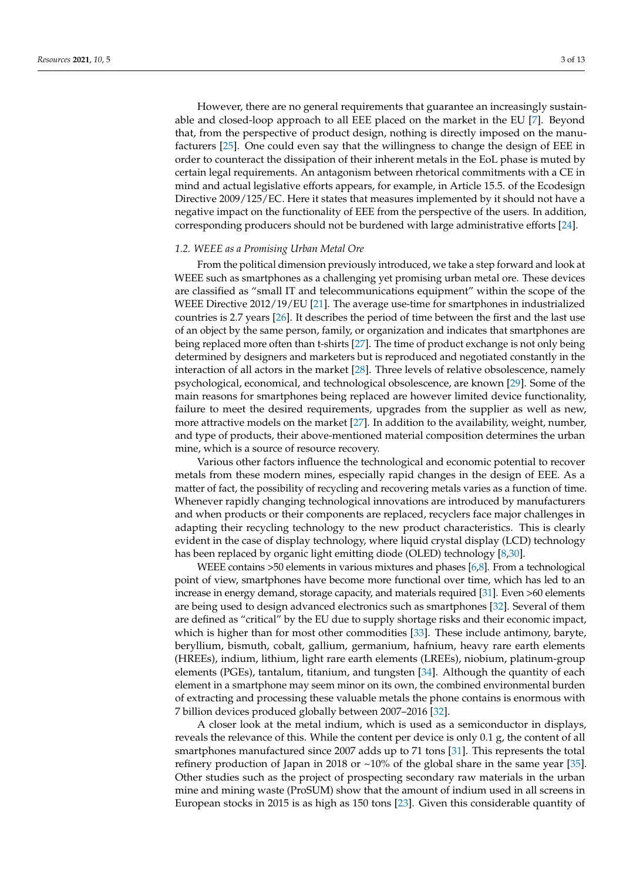However, there are no general requirements that guarantee an increasingly sustainable and closed-loop approach to all EEE placed on the market in the EU [\[7\]](#page-10-15). Beyond that, from the perspective of product design, nothing is directly imposed on the manufacturers [\[25\]](#page-10-22). One could even say that the willingness to change the design of EEE in order to counteract the dissipation of their inherent metals in the EoL phase is muted by certain legal requirements. An antagonism between rhetorical commitments with a CE in mind and actual legislative efforts appears, for example, in Article 15.5. of the Ecodesign Directive 2009/125/EC. Here it states that measures implemented by it should not have a negative impact on the functionality of EEE from the perspective of the users. In addition, corresponding producers should not be burdened with large administrative efforts [\[24\]](#page-10-21).

#### *1.2. WEEE as a Promising Urban Metal Ore*

From the political dimension previously introduced, we take a step forward and look at WEEE such as smartphones as a challenging yet promising urban metal ore. These devices are classified as "small IT and telecommunications equipment" within the scope of the WEEE Directive 2012/19/EU [\[21\]](#page-10-18). The average use-time for smartphones in industrialized countries is 2.7 years [\[26\]](#page-10-23). It describes the period of time between the first and the last use of an object by the same person, family, or organization and indicates that smartphones are being replaced more often than t-shirts [\[27\]](#page-10-24). The time of product exchange is not only being determined by designers and marketers but is reproduced and negotiated constantly in the interaction of all actors in the market [\[28\]](#page-10-25). Three levels of relative obsolescence, namely psychological, economical, and technological obsolescence, are known [\[29\]](#page-10-26). Some of the main reasons for smartphones being replaced are however limited device functionality, failure to meet the desired requirements, upgrades from the supplier as well as new, more attractive models on the market [\[27\]](#page-10-24). In addition to the availability, weight, number, and type of products, their above-mentioned material composition determines the urban mine, which is a source of resource recovery.

Various other factors influence the technological and economic potential to recover metals from these modern mines, especially rapid changes in the design of EEE. As a matter of fact, the possibility of recycling and recovering metals varies as a function of time. Whenever rapidly changing technological innovations are introduced by manufacturers and when products or their components are replaced, recyclers face major challenges in adapting their recycling technology to the new product characteristics. This is clearly evident in the case of display technology, where liquid crystal display (LCD) technology has been replaced by organic light emitting diode (OLED) technology [\[8](#page-10-4)[,30\]](#page-10-27).

WEEE contains >50 elements in various mixtures and phases [\[6,](#page-10-3)[8\]](#page-10-4). From a technological point of view, smartphones have become more functional over time, which has led to an increase in energy demand, storage capacity, and materials required [\[31\]](#page-10-28). Even >60 elements are being used to design advanced electronics such as smartphones [\[32\]](#page-11-0). Several of them are defined as "critical" by the EU due to supply shortage risks and their economic impact, which is higher than for most other commodities [\[33\]](#page-11-1). These include antimony, baryte, beryllium, bismuth, cobalt, gallium, germanium, hafnium, heavy rare earth elements (HREEs), indium, lithium, light rare earth elements (LREEs), niobium, platinum-group elements (PGEs), tantalum, titanium, and tungsten [\[34\]](#page-11-2). Although the quantity of each element in a smartphone may seem minor on its own, the combined environmental burden of extracting and processing these valuable metals the phone contains is enormous with 7 billion devices produced globally between 2007–2016 [\[32\]](#page-11-0).

A closer look at the metal indium, which is used as a semiconductor in displays, reveals the relevance of this. While the content per device is only 0.1 g, the content of all smartphones manufactured since 2007 adds up to 71 tons [\[31\]](#page-10-28). This represents the total refinery production of Japan in 2018 or  $~10\%$  of the global share in the same year [\[35\]](#page-11-3). Other studies such as the project of prospecting secondary raw materials in the urban mine and mining waste (ProSUM) show that the amount of indium used in all screens in European stocks in 2015 is as high as 150 tons [\[23\]](#page-10-20). Given this considerable quantity of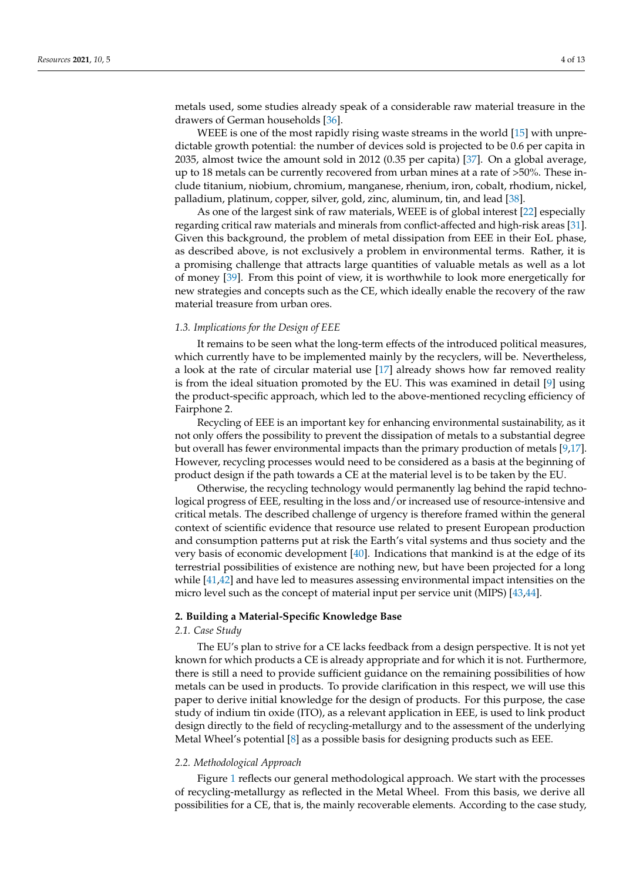metals used, some studies already speak of a considerable raw material treasure in the drawers of German households [\[36\]](#page-11-4).

WEEE is one of the most rapidly rising waste streams in the world [\[15\]](#page-10-11) with unpredictable growth potential: the number of devices sold is projected to be 0.6 per capita in 2035, almost twice the amount sold in 2012 (0.35 per capita) [\[37\]](#page-11-5). On a global average, up to 18 metals can be currently recovered from urban mines at a rate of >50%. These include titanium, niobium, chromium, manganese, rhenium, iron, cobalt, rhodium, nickel, palladium, platinum, copper, silver, gold, zinc, aluminum, tin, and lead [\[38\]](#page-11-6).

As one of the largest sink of raw materials, WEEE is of global interest [\[22\]](#page-10-19) especially regarding critical raw materials and minerals from conflict-affected and high-risk areas [\[31\]](#page-10-28). Given this background, the problem of metal dissipation from EEE in their EoL phase, as described above, is not exclusively a problem in environmental terms. Rather, it is a promising challenge that attracts large quantities of valuable metals as well as a lot of money [\[39\]](#page-11-7). From this point of view, it is worthwhile to look more energetically for new strategies and concepts such as the CE, which ideally enable the recovery of the raw material treasure from urban ores.

#### *1.3. Implications for the Design of EEE*

It remains to be seen what the long-term effects of the introduced political measures, which currently have to be implemented mainly by the recyclers, will be. Nevertheless, a look at the rate of circular material use [\[17\]](#page-10-13) already shows how far removed reality is from the ideal situation promoted by the EU. This was examined in detail [\[9\]](#page-10-5) using the product-specific approach, which led to the above-mentioned recycling efficiency of Fairphone 2.

Recycling of EEE is an important key for enhancing environmental sustainability, as it not only offers the possibility to prevent the dissipation of metals to a substantial degree but overall has fewer environmental impacts than the primary production of metals [\[9](#page-10-5)[,17\]](#page-10-13). However, recycling processes would need to be considered as a basis at the beginning of product design if the path towards a CE at the material level is to be taken by the EU.

Otherwise, the recycling technology would permanently lag behind the rapid technological progress of EEE, resulting in the loss and/or increased use of resource-intensive and critical metals. The described challenge of urgency is therefore framed within the general context of scientific evidence that resource use related to present European production and consumption patterns put at risk the Earth's vital systems and thus society and the very basis of economic development [\[40\]](#page-11-8). Indications that mankind is at the edge of its terrestrial possibilities of existence are nothing new, but have been projected for a long while [\[41](#page-11-9)[,42\]](#page-11-10) and have led to measures assessing environmental impact intensities on the micro level such as the concept of material input per service unit (MIPS) [\[43](#page-11-11)[,44\]](#page-11-12).

#### **2. Building a Material-Specific Knowledge Base**

#### *2.1. Case Study*

The EU's plan to strive for a CE lacks feedback from a design perspective. It is not yet known for which products a CE is already appropriate and for which it is not. Furthermore, there is still a need to provide sufficient guidance on the remaining possibilities of how metals can be used in products. To provide clarification in this respect, we will use this paper to derive initial knowledge for the design of products. For this purpose, the case study of indium tin oxide (ITO), as a relevant application in EEE, is used to link product design directly to the field of recycling-metallurgy and to the assessment of the underlying Metal Wheel's potential [\[8\]](#page-10-4) as a possible basis for designing products such as EEE.

#### *2.2. Methodological Approach*

Figure [1](#page-4-0) reflects our general methodological approach. We start with the processes of recycling-metallurgy as reflected in the Metal Wheel. From this basis, we derive all possibilities for a CE, that is, the mainly recoverable elements. According to the case study,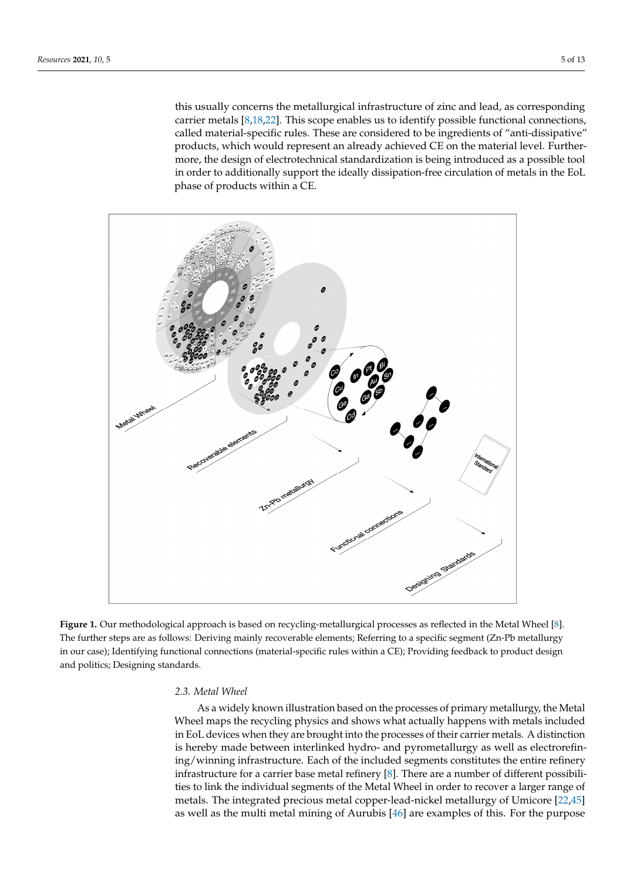this usually concerns the metallurgical infrastructure of zinc and lead, as corresponding carrier metals [\[8](#page-10-4)[,18](#page-10-14)[,22\]](#page-10-19). This scope enables us to identify possible functional connections, called material-specific rules. These are considered to be ingredients of "anti-dissipative" products, which would represent an already achieved CE on the material level. Furthermore, the design of electrotechnical standardization is being introduced as a possible tool in order to additionally support the ideally dissipation-free circulation of metals in the EoL phase of products within a CE.

<span id="page-4-0"></span>

**Figure 1.** Our methodological approach is based on recycling-metallurgical processes as reflected in the Metal Wheel [\[8\]](#page-10-4). The further steps are as follows: Deriving mainly recoverable elements; Referring to a specific segment (Zn-Pb metallurgy in our case); Identifying functional connections (material-specific rules within a CE); Providing feedback to product design and politics; Designing standards.

#### *2.3. Metal Wheel*

As a widely known illustration based on the processes of primary metallurgy, the Metal Wheel maps the recycling physics and shows what actually happens with metals included in EoL devices when they are brought into the processes of their carrier metals. A distinction is hereby made between interlinked hydro- and pyrometallurgy as well as electrorefining/winning infrastructure. Each of the included segments constitutes the entire refinery infrastructure for a carrier base metal refinery [\[8\]](#page-10-4). There are a number of different possibilities to link the individual segments of the Metal Wheel in order to recover a larger range of metals. The integrated precious metal copper-lead-nickel metallurgy of Umicore [\[22](#page-10-19)[,45\]](#page-11-13) as well as the multi metal mining of Aurubis [\[46\]](#page-11-14) are examples of this. For the purpose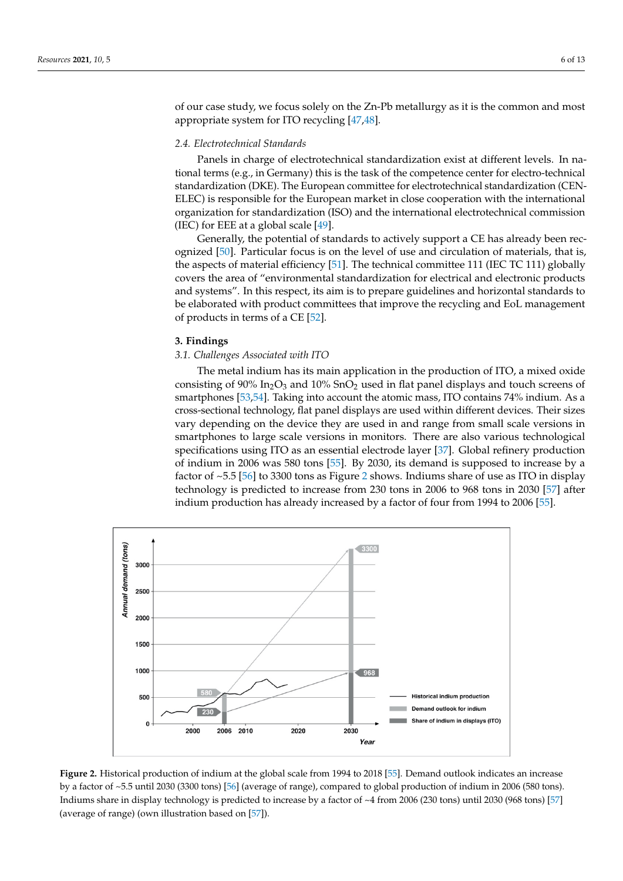of our case study, we focus solely on the Zn-Pb metallurgy as it is the common and most appropriate system for ITO recycling [\[47,](#page-11-15)[48\]](#page-11-16).

## *2.4. Electrotechnical Standards 2.4. Electrotechnical Standards*

Panels in charge of electrotechnical standardization exist at different levels. In na-Panels in charge of electrotechnical standardization exist at different levels. In national terms (e.g., in Germany) this is the task of the competence center for electro-technical standardization (DKE). The European committee for electrotechnical standardization (CEN-ELEC) is responsible for the European market in close cooperation with the international organization for standardization (ISO) and the international electrotechnical commission (IEC) for EEE at a global scale  $[49]$ .

Generally, the potential of standards to actively support a CE has already been rec-Generally, the potential of standards to actively support a CE has already been rec-ognized [\[50\]](#page-11-18). Particular focus is on the level of use and circulation of materials, that is, the aspects of material efficiency [\[51\]](#page-11-19). The technical committee 111 (IEC TC 111) globally covers the area of "environmental standardization for electrical and electronic products and systems". In this respect, its aim is to prepare guidelines and horizontal standards to be elaborated with product committees that improve the recycling and EoL management of products in terms of a CE [\[52\]](#page-11-20). products in terms of a CE [52].

#### **3. Findings**

## *3.1. Challenges Associated with ITO 3.1. Challenges Associated with ITO*

The metal indium has its main application in the production of ITO, a mixed oxide The metal indium has its main application in the production of ITO, a mixed oxide consisting of 90% In<sub>2</sub>O<sub>3</sub> and 10% SnO<sub>2</sub> used in flat panel displays and touch screens of smartphones [\[53](#page-11-21)[,54\]](#page-11-22). Taking into account the atomic mass, ITO contains 74% indium. As a cross-sectional technology, flat panel displays are used within different devices. Their sizes a cross-sectional technology, flat panel displays are used within different devices. Their vary depending on the device they are used in and range from small scale versions in smartphones to large scale versions in monitors. There are also various technological<br>
in the smartphones in the state of the state of the state of the state of the state of the state of the state of the state of the state specifications using ITO as an essential electrode layer [\[37\]](#page-11-5). Global refinery production of indium in 2006 was 580 tons [\[55\]](#page-11-23). By 2030, its demand is supposed to increase by a factor of  $55$ ,  $15/11 \times 2200$  to  $n_{\text{max}}$  and  $n_{\text{max}}$  and  $n_{\text{max}}$  and  $n_{\text{max}}$  and  $n_{\text{max}}$  and  $n_{\text{max}}$  and  $n_{\text{max}}$  and  $n_{\$ factor of  $\sim$ 5.5 [\[56\]](#page-11-24) to 3300 tons as Figure [2](#page-5-0) shows. Indiums share of use as ITO in display techtechnology is predicted to increase from 230 tons in 2006 to 968 tons in 2030 [\[57\]](#page-11-25) after indium production has already increased by a factor of four from  $1994$  to  $2006$  [\[55\]](#page-11-23). production has already increased by a factor of four from

<span id="page-5-0"></span>

Figure 2. Historical production of indium at the global scale from 1994 to 2018 [\[55\]](#page-11-23). Demand outlook indicates an increase by a factor of ~5.5 until 2030 (3300 tons) [\[56\]](#page-11-24) (average of range), compared to global production of indium in 2006 (580 tons). global production of individual production of individual production of individual production  $\frac{1}{2000}$  (580 tons). increase by a factor of ~4 from 2006 (230 tons) until 2030 (968 tons) [57] (average of range). Indiums share in display technology is predicted to increase by a factor of ~4 from 2006 (230 tons) until 2030 (968 tons) [\[57\]](#page-11-25) (average of range) (own illustration based on [\[57\]](#page-11-25)).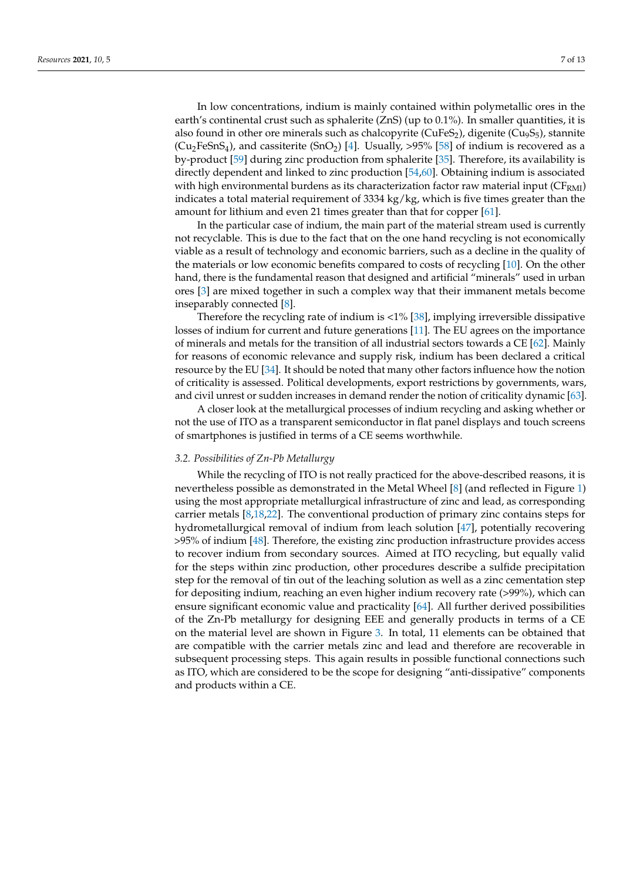In low concentrations, indium is mainly contained within polymetallic ores in the earth's continental crust such as sphalerite (ZnS) (up to 0.1%). In smaller quantities, it is also found in other ore minerals such as chalcopyrite ( $CuFeS<sub>2</sub>$ ), digenite ( $Cu<sub>9</sub>S<sub>5</sub>$ ), stannite  $(Cu_2FeSnS_4)$ , and cassiterite  $(SnO_2)$  [\[4\]](#page-10-1). Usually, >95% [\[58\]](#page-11-26) of indium is recovered as a by-product [\[59\]](#page-11-27) during zinc production from sphalerite [\[35\]](#page-11-3). Therefore, its availability is directly dependent and linked to zinc production [\[54](#page-11-22)[,60\]](#page-11-28). Obtaining indium is associated with high environmental burdens as its characterization factor raw material input ( $CF_{RMI}$ ) indicates a total material requirement of 3334 kg/kg, which is five times greater than the amount for lithium and even 21 times greater than that for copper [\[61\]](#page-11-29).

In the particular case of indium, the main part of the material stream used is currently not recyclable. This is due to the fact that on the one hand recycling is not economically viable as a result of technology and economic barriers, such as a decline in the quality of the materials or low economic benefits compared to costs of recycling [\[10\]](#page-10-6). On the other hand, there is the fundamental reason that designed and artificial "minerals" used in urban ores [\[3\]](#page-10-0) are mixed together in such a complex way that their immanent metals become inseparably connected [\[8\]](#page-10-4).

Therefore the recycling rate of indium is  $<1\%$  [\[38\]](#page-11-6), implying irreversible dissipative losses of indium for current and future generations [\[11\]](#page-10-7). The EU agrees on the importance of minerals and metals for the transition of all industrial sectors towards a CE [\[62\]](#page-12-0). Mainly for reasons of economic relevance and supply risk, indium has been declared a critical resource by the EU [\[34\]](#page-11-2). It should be noted that many other factors influence how the notion of criticality is assessed. Political developments, export restrictions by governments, wars, and civil unrest or sudden increases in demand render the notion of criticality dynamic [\[63\]](#page-12-1).

A closer look at the metallurgical processes of indium recycling and asking whether or not the use of ITO as a transparent semiconductor in flat panel displays and touch screens of smartphones is justified in terms of a CE seems worthwhile.

### *3.2. Possibilities of Zn-Pb Metallurgy*

While the recycling of ITO is not really practiced for the above-described reasons, it is nevertheless possible as demonstrated in the Metal Wheel [\[8\]](#page-10-4) (and reflected in Figure [1\)](#page-4-0) using the most appropriate metallurgical infrastructure of zinc and lead, as corresponding carrier metals [\[8,](#page-10-4)[18,](#page-10-14)[22\]](#page-10-19). The conventional production of primary zinc contains steps for hydrometallurgical removal of indium from leach solution [\[47\]](#page-11-15), potentially recovering >95% of indium [\[48\]](#page-11-16). Therefore, the existing zinc production infrastructure provides access to recover indium from secondary sources. Aimed at ITO recycling, but equally valid for the steps within zinc production, other procedures describe a sulfide precipitation step for the removal of tin out of the leaching solution as well as a zinc cementation step for depositing indium, reaching an even higher indium recovery rate (>99%), which can ensure significant economic value and practicality [\[64\]](#page-12-2). All further derived possibilities of the Zn-Pb metallurgy for designing EEE and generally products in terms of a CE on the material level are shown in Figure [3.](#page-7-0) In total, 11 elements can be obtained that are compatible with the carrier metals zinc and lead and therefore are recoverable in subsequent processing steps. This again results in possible functional connections such as ITO, which are considered to be the scope for designing "anti-dissipative" components and products within a CE.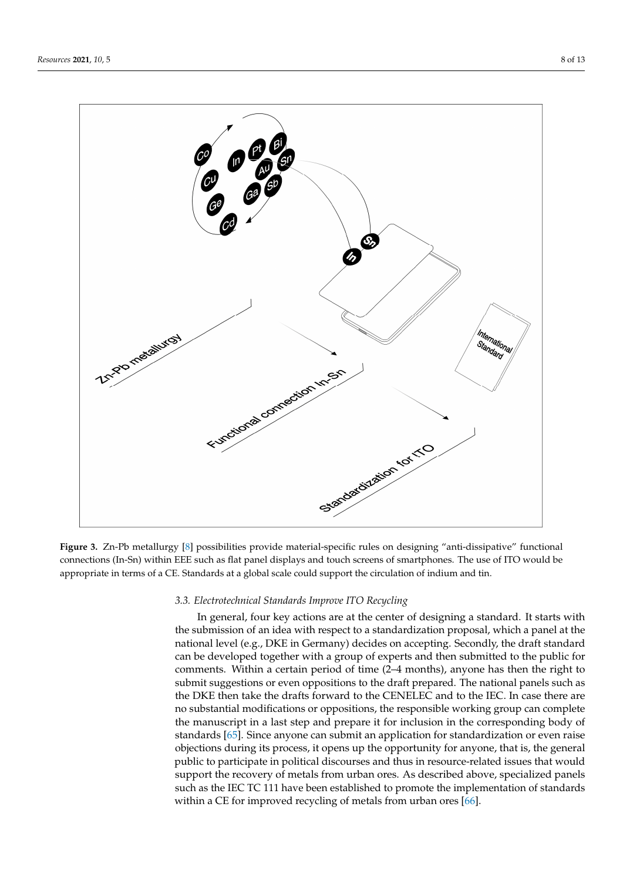<span id="page-7-0"></span>

**Figure 3.** Zn-Pb metallurgy [\[8\]](#page-10-4) possibilities provide material-specific rules on designing "anti-dissipative" functional connections (In-Sn) within EEE such as flat panel displays and touch screens of smartphones. The use of ITO would be appropriate in terms of a CE. Standards at a global scale could support the circulation of indium and tin.

#### *3.3. Electrotechnical Standards Improve ITO Recycling*

In general, four key actions are at the center of designing a standard. It starts with the submission of an idea with respect to a standardization proposal, which a panel at the national level (e.g., DKE in Germany) decides on accepting. Secondly, the draft standard can be developed together with a group of experts and then submitted to the public for comments. Within a certain period of time (2–4 months), anyone has then the right to submit suggestions or even oppositions to the draft prepared. The national panels such as the DKE then take the drafts forward to the CENELEC and to the IEC. In case there are no substantial modifications or oppositions, the responsible working group can complete the manuscript in a last step and prepare it for inclusion in the corresponding body of standards [\[65\]](#page-12-3). Since anyone can submit an application for standardization or even raise objections during its process, it opens up the opportunity for anyone, that is, the general public to participate in political discourses and thus in resource-related issues that would support the recovery of metals from urban ores. As described above, specialized panels such as the IEC TC 111 have been established to promote the implementation of standards within a CE for improved recycling of metals from urban ores [\[66\]](#page-12-4).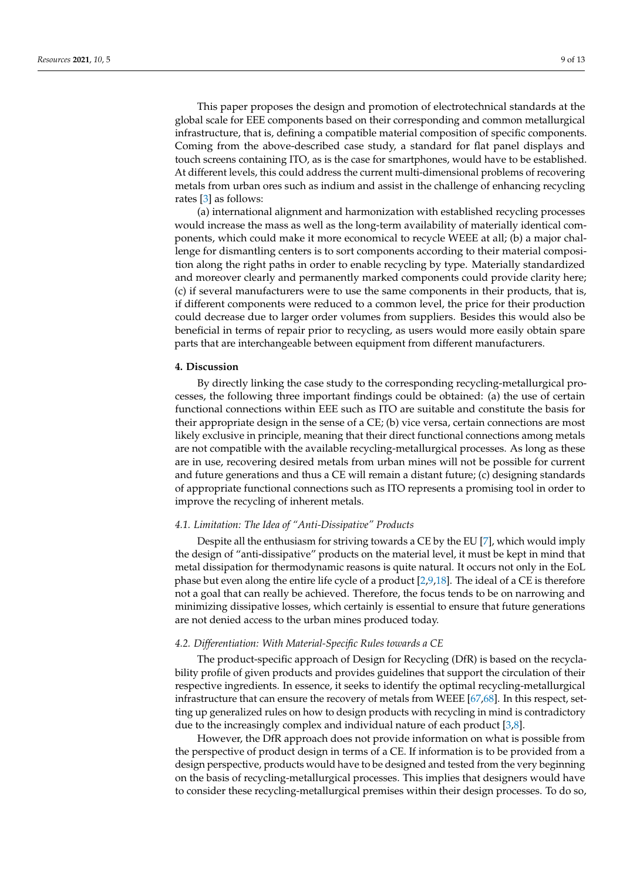This paper proposes the design and promotion of electrotechnical standards at the global scale for EEE components based on their corresponding and common metallurgical infrastructure, that is, defining a compatible material composition of specific components. Coming from the above-described case study, a standard for flat panel displays and touch screens containing ITO, as is the case for smartphones, would have to be established. At different levels, this could address the current multi-dimensional problems of recovering metals from urban ores such as indium and assist in the challenge of enhancing recycling rates [\[3\]](#page-10-0) as follows:

(a) international alignment and harmonization with established recycling processes would increase the mass as well as the long-term availability of materially identical components, which could make it more economical to recycle WEEE at all; (b) a major challenge for dismantling centers is to sort components according to their material composition along the right paths in order to enable recycling by type. Materially standardized and moreover clearly and permanently marked components could provide clarity here; (c) if several manufacturers were to use the same components in their products, that is, if different components were reduced to a common level, the price for their production could decrease due to larger order volumes from suppliers. Besides this would also be beneficial in terms of repair prior to recycling, as users would more easily obtain spare parts that are interchangeable between equipment from different manufacturers.

#### **4. Discussion**

By directly linking the case study to the corresponding recycling-metallurgical processes, the following three important findings could be obtained: (a) the use of certain functional connections within EEE such as ITO are suitable and constitute the basis for their appropriate design in the sense of a CE; (b) vice versa, certain connections are most likely exclusive in principle, meaning that their direct functional connections among metals are not compatible with the available recycling-metallurgical processes. As long as these are in use, recovering desired metals from urban mines will not be possible for current and future generations and thus a CE will remain a distant future; (c) designing standards of appropriate functional connections such as ITO represents a promising tool in order to improve the recycling of inherent metals.

#### *4.1. Limitation: The Idea of "Anti-Dissipative" Products*

Despite all the enthusiasm for striving towards a CE by the EU [\[7\]](#page-10-15), which would imply the design of "anti-dissipative" products on the material level, it must be kept in mind that metal dissipation for thermodynamic reasons is quite natural. It occurs not only in the EoL phase but even along the entire life cycle of a product [\[2](#page-9-1)[,9,](#page-10-5)[18\]](#page-10-14). The ideal of a CE is therefore not a goal that can really be achieved. Therefore, the focus tends to be on narrowing and minimizing dissipative losses, which certainly is essential to ensure that future generations are not denied access to the urban mines produced today.

#### *4.2. Differentiation: With Material-Specific Rules towards a CE*

The product-specific approach of Design for Recycling (DfR) is based on the recyclability profile of given products and provides guidelines that support the circulation of their respective ingredients. In essence, it seeks to identify the optimal recycling-metallurgical infrastructure that can ensure the recovery of metals from WEEE [\[67](#page-12-5)[,68\]](#page-12-6). In this respect, setting up generalized rules on how to design products with recycling in mind is contradictory due to the increasingly complex and individual nature of each product [\[3,](#page-10-0)[8\]](#page-10-4).

However, the DfR approach does not provide information on what is possible from the perspective of product design in terms of a CE. If information is to be provided from a design perspective, products would have to be designed and tested from the very beginning on the basis of recycling-metallurgical processes. This implies that designers would have to consider these recycling-metallurgical premises within their design processes. To do so,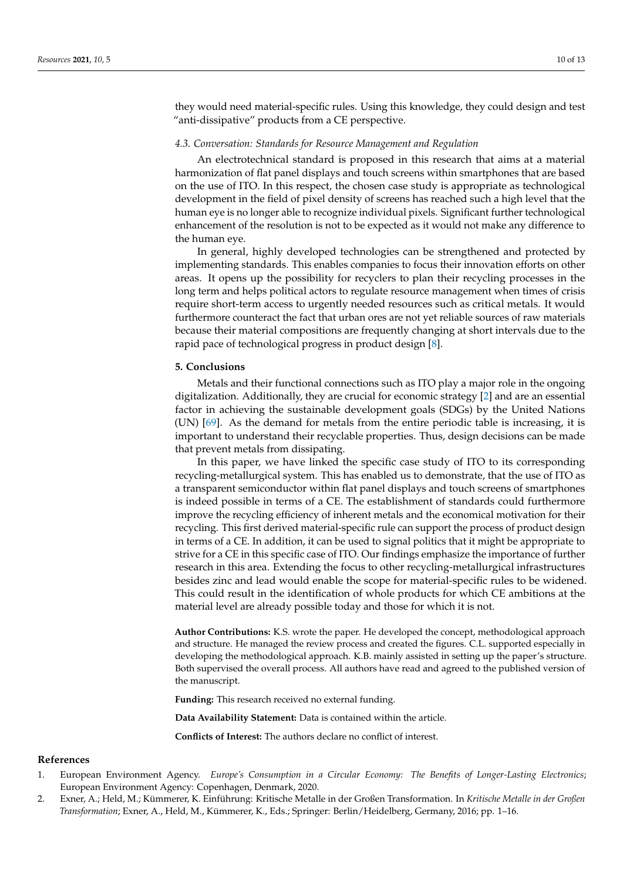they would need material-specific rules. Using this knowledge, they could design and test "anti-dissipative" products from a CE perspective.

#### *4.3. Conversation: Standards for Resource Management and Regulation*

An electrotechnical standard is proposed in this research that aims at a material harmonization of flat panel displays and touch screens within smartphones that are based on the use of ITO. In this respect, the chosen case study is appropriate as technological development in the field of pixel density of screens has reached such a high level that the human eye is no longer able to recognize individual pixels. Significant further technological enhancement of the resolution is not to be expected as it would not make any difference to the human eye.

In general, highly developed technologies can be strengthened and protected by implementing standards. This enables companies to focus their innovation efforts on other areas. It opens up the possibility for recyclers to plan their recycling processes in the long term and helps political actors to regulate resource management when times of crisis require short-term access to urgently needed resources such as critical metals. It would furthermore counteract the fact that urban ores are not yet reliable sources of raw materials because their material compositions are frequently changing at short intervals due to the rapid pace of technological progress in product design [\[8\]](#page-10-4).

#### **5. Conclusions**

Metals and their functional connections such as ITO play a major role in the ongoing digitalization. Additionally, they are crucial for economic strategy [\[2\]](#page-9-1) and are an essential factor in achieving the sustainable development goals (SDGs) by the United Nations (UN) [\[69\]](#page-12-7). As the demand for metals from the entire periodic table is increasing, it is important to understand their recyclable properties. Thus, design decisions can be made that prevent metals from dissipating.

In this paper, we have linked the specific case study of ITO to its corresponding recycling-metallurgical system. This has enabled us to demonstrate, that the use of ITO as a transparent semiconductor within flat panel displays and touch screens of smartphones is indeed possible in terms of a CE. The establishment of standards could furthermore improve the recycling efficiency of inherent metals and the economical motivation for their recycling. This first derived material-specific rule can support the process of product design in terms of a CE. In addition, it can be used to signal politics that it might be appropriate to strive for a CE in this specific case of ITO. Our findings emphasize the importance of further research in this area. Extending the focus to other recycling-metallurgical infrastructures besides zinc and lead would enable the scope for material-specific rules to be widened. This could result in the identification of whole products for which CE ambitions at the material level are already possible today and those for which it is not.

**Author Contributions:** K.S. wrote the paper. He developed the concept, methodological approach and structure. He managed the review process and created the figures. C.L. supported especially in developing the methodological approach. K.B. mainly assisted in setting up the paper's structure. Both supervised the overall process. All authors have read and agreed to the published version of the manuscript.

**Funding:** This research received no external funding.

**Data Availability Statement:** Data is contained within the article.

**Conflicts of Interest:** The authors declare no conflict of interest.

#### **References**

- <span id="page-9-0"></span>1. European Environment Agency. *Europe's Consumption in a Circular Economy: The Benefits of Longer-Lasting Electronics*; European Environment Agency: Copenhagen, Denmark, 2020.
- <span id="page-9-1"></span>2. Exner, A.; Held, M.; Kümmerer, K. Einführung: Kritische Metalle in der Großen Transformation. In *Kritische Metalle in der Großen Transformation*; Exner, A., Held, M., Kümmerer, K., Eds.; Springer: Berlin/Heidelberg, Germany, 2016; pp. 1–16.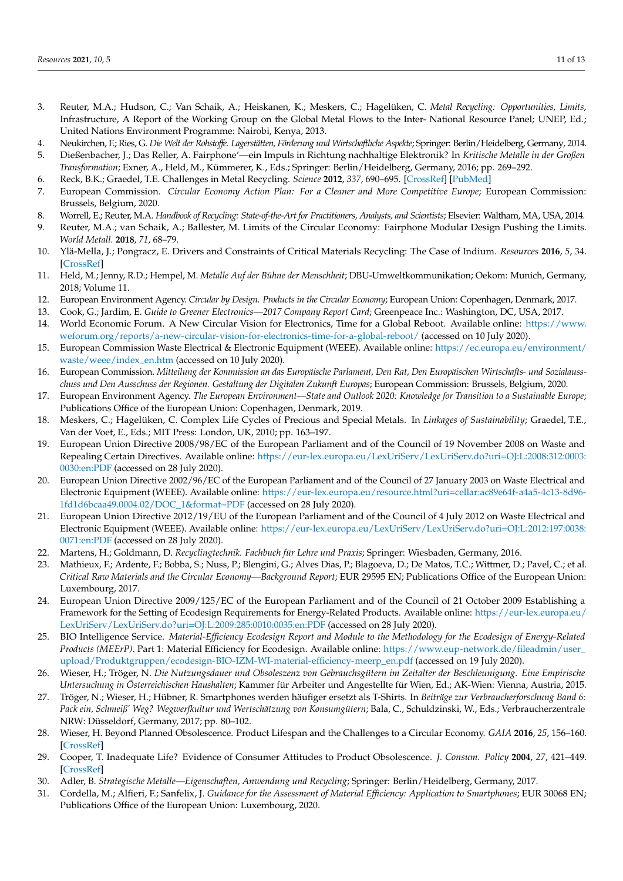- <span id="page-10-0"></span>3. Reuter, M.A.; Hudson, C.; Van Schaik, A.; Heiskanen, K.; Meskers, C.; Hagelüken, C. *Metal Recycling: Opportunities, Limits*, Infrastructure, A Report of the Working Group on the Global Metal Flows to the Inter- National Resource Panel; UNEP, Ed.; United Nations Environment Programme: Nairobi, Kenya, 2013.
- <span id="page-10-1"></span>4. Neukirchen, F.; Ries, G. *Die Welt der Rohstoffe. Lagerstätten, Förderung und Wirtschaftliche Aspekte*; Springer: Berlin/Heidelberg, Germany, 2014.
- <span id="page-10-2"></span>5. Dießenbacher, J.; Das Reller, A. Fairphone'—ein Impuls in Richtung nachhaltige Elektronik? In *Kritische Metalle in der Großen Transformation*; Exner, A., Held, M., Kümmerer, K., Eds.; Springer: Berlin/Heidelberg, Germany, 2016; pp. 269–292.
- <span id="page-10-3"></span>6. Reck, B.K.; Graedel, T.E. Challenges in Metal Recycling. *Science* **2012**, *337*, 690–695. [\[CrossRef\]](http://doi.org/10.1126/science.1217501) [\[PubMed\]](http://www.ncbi.nlm.nih.gov/pubmed/22879508)
- <span id="page-10-15"></span>7. European Commission. *Circular Economy Action Plan: For a Cleaner and More Competitive Europe; European Commission:* Brussels, Belgium, 2020.
- <span id="page-10-5"></span><span id="page-10-4"></span>8. Worrell, E.; Reuter, M.A. *Handbook of Recycling: State-of-the-Art for Practitioners, Analysts, and Scientists*; Elsevier: Waltham, MA, USA, 2014. 9. Reuter, M.A.; van Schaik, A.; Ballester, M. Limits of the Circular Economy: Fairphone Modular Design Pushing the Limits. *World Metall.* **2018**, *71*, 68–79.
- <span id="page-10-6"></span>10. Ylä-Mella, J.; Pongracz, E. Drivers and Constraints of Critical Materials Recycling: The Case of Indium. *Resources* **2016**, *5*, 34. [\[CrossRef\]](http://doi.org/10.3390/resources5040034)
- <span id="page-10-7"></span>11. Held, M.; Jenny, R.D.; Hempel, M. *Metalle Auf der Bühne der Menschheit*; DBU-Umweltkommunikation; Oekom: Munich, Germany, 2018; Volume 11.
- <span id="page-10-8"></span>12. European Environment Agency. *Circular by Design. Products in the Circular Economy*; European Union: Copenhagen, Denmark, 2017.
- <span id="page-10-9"></span>13. Cook, G.; Jardim, E. *Guide to Greener Electronics—2017 Company Report Card*; Greenpeace Inc.: Washington, DC, USA, 2017.
- <span id="page-10-10"></span>14. World Economic Forum. A New Circular Vision for Electronics, Time for a Global Reboot. Available online: [https://www.](https://www.weforum.org/reports/a-new-circular-vision-for-electronics-time-for-a-global-reboot/) [weforum.org/reports/a-new-circular-vision-for-electronics-time-for-a-global-reboot/](https://www.weforum.org/reports/a-new-circular-vision-for-electronics-time-for-a-global-reboot/) (accessed on 10 July 2020).
- <span id="page-10-11"></span>15. European Commission Waste Electrical & Electronic Equipment (WEEE). Available online: [https://ec.europa.eu/environment/](https://ec.europa.eu/environment/waste/weee/index_en.htm) [waste/weee/index\\_en.htm](https://ec.europa.eu/environment/waste/weee/index_en.htm) (accessed on 10 July 2020).
- <span id="page-10-12"></span>16. European Commission. *Mitteilung der Kommission an das Europäische Parlament, Den Rat, Den Europäischen Wirtschafts- und Sozialausschuss und Den Ausschuss der Regionen. Gestaltung der Digitalen Zukunft Europas*; European Commission: Brussels, Belgium, 2020.
- <span id="page-10-13"></span>17. European Environment Agency. *The European Environment—State and Outlook 2020: Knowledge for Transition to a Sustainable Europe*; Publications Office of the European Union: Copenhagen, Denmark, 2019.
- <span id="page-10-14"></span>18. Meskers, C.; Hagelüken, C. Complex Life Cycles of Precious and Special Metals. In *Linkages of Sustainability*; Graedel, T.E., Van der Voet, E., Eds.; MIT Press: London, UK, 2010; pp. 163–197.
- <span id="page-10-16"></span>19. European Union Directive 2008/98/EC of the European Parliament and of the Council of 19 November 2008 on Waste and Repealing Certain Directives. Available online: [https://eur-lex.europa.eu/LexUriServ/LexUriServ.do?uri=OJ:L:2008:312:0003:](https://eur-lex.europa.eu/LexUriServ/LexUriServ.do?uri=OJ:L:2008:312:0003:0030:en:PDF) [0030:en:PDF](https://eur-lex.europa.eu/LexUriServ/LexUriServ.do?uri=OJ:L:2008:312:0003:0030:en:PDF) (accessed on 28 July 2020).
- <span id="page-10-17"></span>20. European Union Directive 2002/96/EC of the European Parliament and of the Council of 27 January 2003 on Waste Electrical and Electronic Equipment (WEEE). Available online: [https://eur-lex.europa.eu/resource.html?uri=cellar:ac89e64f-a4a5-4c13-8d96-](https://eur-lex.europa.eu/resource.html?uri=cellar:ac89e64f-a4a5-4c13-8d96-1fd1d6bcaa49.0004.02/DOC_1&format=PDF) [1fd1d6bcaa49.0004.02/DOC\\_1&format=PDF](https://eur-lex.europa.eu/resource.html?uri=cellar:ac89e64f-a4a5-4c13-8d96-1fd1d6bcaa49.0004.02/DOC_1&format=PDF) (accessed on 28 July 2020).
- <span id="page-10-18"></span>21. European Union Directive 2012/19/EU of the European Parliament and of the Council of 4 July 2012 on Waste Electrical and Electronic Equipment (WEEE). Available online: [https://eur-lex.europa.eu/LexUriServ/LexUriServ.do?uri=OJ:L:2012:197:0038:](https://eur-lex.europa.eu/LexUriServ/LexUriServ.do?uri=OJ:L:2012:197:0038:0071:en:PDF) [0071:en:PDF](https://eur-lex.europa.eu/LexUriServ/LexUriServ.do?uri=OJ:L:2012:197:0038:0071:en:PDF) (accessed on 28 July 2020).
- <span id="page-10-19"></span>22. Martens, H.; Goldmann, D. *Recyclingtechnik. Fachbuch für Lehre und Praxis*; Springer: Wiesbaden, Germany, 2016.
- <span id="page-10-20"></span>23. Mathieux, F.; Ardente, F.; Bobba, S.; Nuss, P.; Blengini, G.; Alves Dias, P.; Blagoeva, D.; De Matos, T.C.; Wittmer, D.; Pavel, C.; et al. *Critical Raw Materials and the Circular Economy—Background Report*; EUR 29595 EN; Publications Office of the European Union: Luxembourg, 2017.
- <span id="page-10-21"></span>24. European Union Directive 2009/125/EC of the European Parliament and of the Council of 21 October 2009 Establishing a Framework for the Setting of Ecodesign Requirements for Energy-Related Products. Available online: [https://eur-lex.europa.eu/](https://eur-lex.europa.eu/LexUriServ/LexUriServ.do?uri=OJ:L:2009:285:0010:0035:en:PDF) [LexUriServ/LexUriServ.do?uri=OJ:L:2009:285:0010:0035:en:PDF](https://eur-lex.europa.eu/LexUriServ/LexUriServ.do?uri=OJ:L:2009:285:0010:0035:en:PDF) (accessed on 28 July 2020).
- <span id="page-10-22"></span>25. BIO Intelligence Service. *Material-Efficiency Ecodesign Report and Module to the Methodology for the Ecodesign of Energy-Related Products (MEErP)*. Part 1: Material Efficiency for Ecodesign. Available online: [https://www.eup-network.de/fileadmin/user\\_](https://www.eup-network.de/fileadmin/user_upload/Produktgruppen/ecodesign-BIO-IZM-WI-material-efficiency-meerp_en.pdf) [upload/Produktgruppen/ecodesign-BIO-IZM-WI-material-efficiency-meerp\\_en.pdf](https://www.eup-network.de/fileadmin/user_upload/Produktgruppen/ecodesign-BIO-IZM-WI-material-efficiency-meerp_en.pdf) (accessed on 19 July 2020).
- <span id="page-10-23"></span>26. Wieser, H.; Tröger, N. *Die Nutzungsdauer und Obsoleszenz von Gebrauchsgütern im Zeitalter der Beschleunigung. Eine Empirische Untersuchung in Österreichischen Haushalten*; Kammer für Arbeiter und Angestellte für Wien, Ed.; AK-Wien: Vienna, Austria, 2015.
- <span id="page-10-24"></span>27. Tröger, N.; Wieser, H.; Hübner, R. Smartphones werden häufiger ersetzt als T-Shirts. In *Beiträge zur Verbraucherforschung Band 6: Pack ein, Schmeiß' Weg? Wegwerfkultur und Wertschätzung von Konsumgütern*; Bala, C., Schuldzinski, W., Eds.; Verbraucherzentrale NRW: Düsseldorf, Germany, 2017; pp. 80–102.
- <span id="page-10-25"></span>28. Wieser, H. Beyond Planned Obsolescence. Product Lifespan and the Challenges to a Circular Economy. *GAIA* **2016**, *25*, 156–160. [\[CrossRef\]](http://doi.org/10.14512/gaia.25.3.5)
- <span id="page-10-26"></span>29. Cooper, T. Inadequate Life? Evidence of Consumer Attitudes to Product Obsolescence. *J. Consum. Policy* **2004**, *27*, 421–449. [\[CrossRef\]](http://doi.org/10.1007/s10603-004-2284-6)
- <span id="page-10-27"></span>30. Adler, B. *Strategische Metalle—Eigenschaften, Anwendung und Recycling*; Springer: Berlin/Heidelberg, Germany, 2017.
- <span id="page-10-28"></span>31. Cordella, M.; Alfieri, F.; Sanfelix, J. *Guidance for the Assessment of Material Efficiency: Application to Smartphones*; EUR 30068 EN; Publications Office of the European Union: Luxembourg, 2020.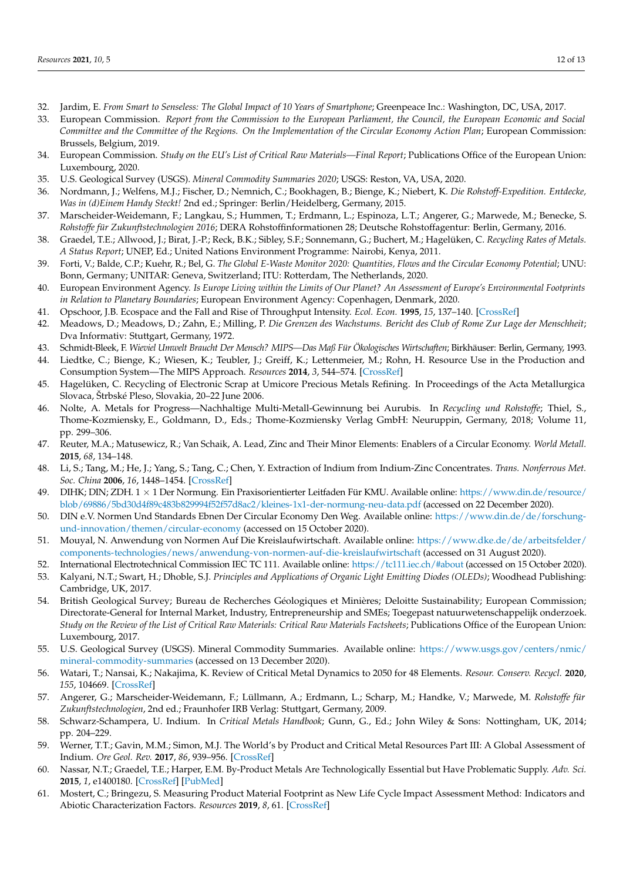- <span id="page-11-0"></span>32. Jardim, E. *From Smart to Senseless: The Global Impact of 10 Years of Smartphone*; Greenpeace Inc.: Washington, DC, USA, 2017.
- <span id="page-11-1"></span>33. European Commission. *Report from the Commission to the European Parliament, the Council, the European Economic and Social Committee and the Committee of the Regions. On the Implementation of the Circular Economy Action Plan*; European Commission: Brussels, Belgium, 2019.
- <span id="page-11-2"></span>34. European Commission. *Study on the EU's List of Critical Raw Materials—Final Report*; Publications Office of the European Union: Luxembourg, 2020.
- <span id="page-11-3"></span>35. U.S. Geological Survey (USGS). *Mineral Commodity Summaries 2020*; USGS: Reston, VA, USA, 2020.
- <span id="page-11-4"></span>36. Nordmann, J.; Welfens, M.J.; Fischer, D.; Nemnich, C.; Bookhagen, B.; Bienge, K.; Niebert, K. *Die Rohstoff-Expedition. Entdecke, Was in (d)Einem Handy Steckt!* 2nd ed.; Springer: Berlin/Heidelberg, Germany, 2015.
- <span id="page-11-5"></span>37. Marscheider-Weidemann, F.; Langkau, S.; Hummen, T.; Erdmann, L.; Espinoza, L.T.; Angerer, G.; Marwede, M.; Benecke, S. *Rohstoffe für Zukunftstechnologien 2016*; DERA Rohstoffinformationen 28; Deutsche Rohstoffagentur: Berlin, Germany, 2016.
- <span id="page-11-6"></span>38. Graedel, T.E.; Allwood, J.; Birat, J.-P.; Reck, B.K.; Sibley, S.F.; Sonnemann, G.; Buchert, M.; Hagelüken, C. *Recycling Rates of Metals. A Status Report*; UNEP, Ed.; United Nations Environment Programme: Nairobi, Kenya, 2011.
- <span id="page-11-7"></span>39. Forti, V.; Balde, C.P.; Kuehr, R.; Bel, G. *The Global E-Waste Monitor 2020: Quantities, Flows and the Circular Economy Potential*; UNU: Bonn, Germany; UNITAR: Geneva, Switzerland; ITU: Rotterdam, The Netherlands, 2020.
- <span id="page-11-8"></span>40. European Environment Agency. *Is Europe Living within the Limits of Our Planet? An Assessment of Europe's Environmental Footprints in Relation to Planetary Boundaries*; European Environment Agency: Copenhagen, Denmark, 2020.
- <span id="page-11-9"></span>41. Opschoor, J.B. Ecospace and the Fall and Rise of Throughput Intensity. *Ecol. Econ.* **1995**, *15*, 137–140. [\[CrossRef\]](http://doi.org/10.1016/0921-8009(95)00070-4)
- <span id="page-11-10"></span>42. Meadows, D.; Meadows, D.; Zahn, E.; Milling, P. *Die Grenzen des Wachstums. Bericht des Club of Rome Zur Lage der Menschheit*; Dva Informativ: Stuttgart, Germany, 1972.
- <span id="page-11-11"></span>43. Schmidt-Bleek, F. *Wieviel Umwelt Braucht Der Mensch? MIPS—Das Maß Für Ökologisches Wirtschaften*; Birkhäuser: Berlin, Germany, 1993.
- <span id="page-11-12"></span>44. Liedtke, C.; Bienge, K.; Wiesen, K.; Teubler, J.; Greiff, K.; Lettenmeier, M.; Rohn, H. Resource Use in the Production and Consumption System—The MIPS Approach. *Resources* **2014**, *3*, 544–574. [\[CrossRef\]](http://doi.org/10.3390/resources3030544)
- <span id="page-11-13"></span>45. Hagelüken, C. Recycling of Electronic Scrap at Umicore Precious Metals Refining. In Proceedings of the Acta Metallurgica Slovaca, Štrbské Pleso, Slovakia, 20–22 June 2006.
- <span id="page-11-14"></span>46. Nolte, A. Metals for Progress—Nachhaltige Multi-Metall-Gewinnung bei Aurubis. In *Recycling und Rohstoffe*; Thiel, S., Thome-Kozmiensky, E., Goldmann, D., Eds.; Thome-Kozmiensky Verlag GmbH: Neuruppin, Germany, 2018; Volume 11, pp. 299–306.
- <span id="page-11-15"></span>47. Reuter, M.A.; Matusewicz, R.; Van Schaik, A. Lead, Zinc and Their Minor Elements: Enablers of a Circular Economy. *World Metall.* **2015**, *68*, 134–148.
- <span id="page-11-16"></span>48. Li, S.; Tang, M.; He, J.; Yang, S.; Tang, C.; Chen, Y. Extraction of Indium from Indium-Zinc Concentrates. *Trans. Nonferrous Met. Soc. China* **2006**, *16*, 1448–1454. [\[CrossRef\]](http://doi.org/10.1016/S1003-6326(07)60036-3)
- <span id="page-11-17"></span>49. DIHK; DIN; ZDH. 1 × 1 Der Normung. Ein Praxisorientierter Leitfaden Für KMU. Available online: [https://www.din.de/resource/](https://www.din.de/resource/blob/69886/5bd30d4f89c483b829994f52f57d8ac2/kleines-1x1-der-normung-neu-data.pdf) [blob/69886/5bd30d4f89c483b829994f52f57d8ac2/kleines-1x1-der-normung-neu-data.pdf](https://www.din.de/resource/blob/69886/5bd30d4f89c483b829994f52f57d8ac2/kleines-1x1-der-normung-neu-data.pdf) (accessed on 22 December 2020).
- <span id="page-11-18"></span>50. DIN e.V. Normen Und Standards Ebnen Der Circular Economy Den Weg. Available online: [https://www.din.de/de/forschung](https://www.din.de/de/forschung-und-innovation/themen/circular-economy)[und-innovation/themen/circular-economy](https://www.din.de/de/forschung-und-innovation/themen/circular-economy) (accessed on 15 October 2020).
- <span id="page-11-19"></span>51. Mouyal, N. Anwendung von Normen Auf Die Kreislaufwirtschaft. Available online: [https://www.dke.de/de/arbeitsfelder/](https://www.dke.de/de/arbeitsfelder/components-technologies/news/anwendung-von-normen-auf-die-kreislaufwirtschaft) [components-technologies/news/anwendung-von-normen-auf-die-kreislaufwirtschaft](https://www.dke.de/de/arbeitsfelder/components-technologies/news/anwendung-von-normen-auf-die-kreislaufwirtschaft) (accessed on 31 August 2020).
- <span id="page-11-21"></span><span id="page-11-20"></span>52. International Electrotechnical Commission IEC TC 111. Available online: <https://tc111.iec.ch/#about> (accessed on 15 October 2020). 53. Kalyani, N.T.; Swart, H.; Dhoble, S.J. *Principles and Applications of Organic Light Emitting Diodes (OLEDs)*; Woodhead Publishing:
- <span id="page-11-22"></span>Cambridge, UK, 2017. 54. British Geological Survey; Bureau de Recherches Géologiques et Minières; Deloitte Sustainability; European Commission; Directorate-General for Internal Market, Industry, Entrepreneurship and SMEs; Toegepast natuurwetenschappelijk onderzoek. *Study on the Review of the List of Critical Raw Materials: Critical Raw Materials Factsheets*; Publications Office of the European Union: Luxembourg, 2017.
- <span id="page-11-23"></span>55. U.S. Geological Survey (USGS). Mineral Commodity Summaries. Available online: [https://www.usgs.gov/centers/nmic/](https://www.usgs.gov/centers/nmic/mineral-commodity-summaries) [mineral-commodity-summaries](https://www.usgs.gov/centers/nmic/mineral-commodity-summaries) (accessed on 13 December 2020).
- <span id="page-11-24"></span>56. Watari, T.; Nansai, K.; Nakajima, K. Review of Critical Metal Dynamics to 2050 for 48 Elements. *Resour. Conserv. Recycl.* **2020**, *155*, 104669. [\[CrossRef\]](http://doi.org/10.1016/j.resconrec.2019.104669)
- <span id="page-11-25"></span>57. Angerer, G.; Marscheider-Weidemann, F.; Lüllmann, A.; Erdmann, L.; Scharp, M.; Handke, V.; Marwede, M. *Rohstoffe für Zukunftstechnologien*, 2nd ed.; Fraunhofer IRB Verlag: Stuttgart, Germany, 2009.
- <span id="page-11-26"></span>58. Schwarz-Schampera, U. Indium. In *Critical Metals Handbook*; Gunn, G., Ed.; John Wiley & Sons: Nottingham, UK, 2014; pp. 204–229.
- <span id="page-11-27"></span>59. Werner, T.T.; Gavin, M.M.; Simon, M.J. The World's by Product and Critical Metal Resources Part III: A Global Assessment of Indium. *Ore Geol. Rev.* **2017**, *86*, 939–956. [\[CrossRef\]](http://doi.org/10.1016/j.oregeorev.2017.01.015)
- <span id="page-11-28"></span>60. Nassar, N.T.; Graedel, T.E.; Harper, E.M. By-Product Metals Are Technologically Essential but Have Problematic Supply. *Adv. Sci.* **2015**, *1*, e1400180. [\[CrossRef\]](http://doi.org/10.1126/sciadv.1400180) [\[PubMed\]](http://www.ncbi.nlm.nih.gov/pubmed/26601159)
- <span id="page-11-29"></span>61. Mostert, C.; Bringezu, S. Measuring Product Material Footprint as New Life Cycle Impact Assessment Method: Indicators and Abiotic Characterization Factors. *Resources* **2019**, *8*, 61. [\[CrossRef\]](http://doi.org/10.3390/resources8020061)